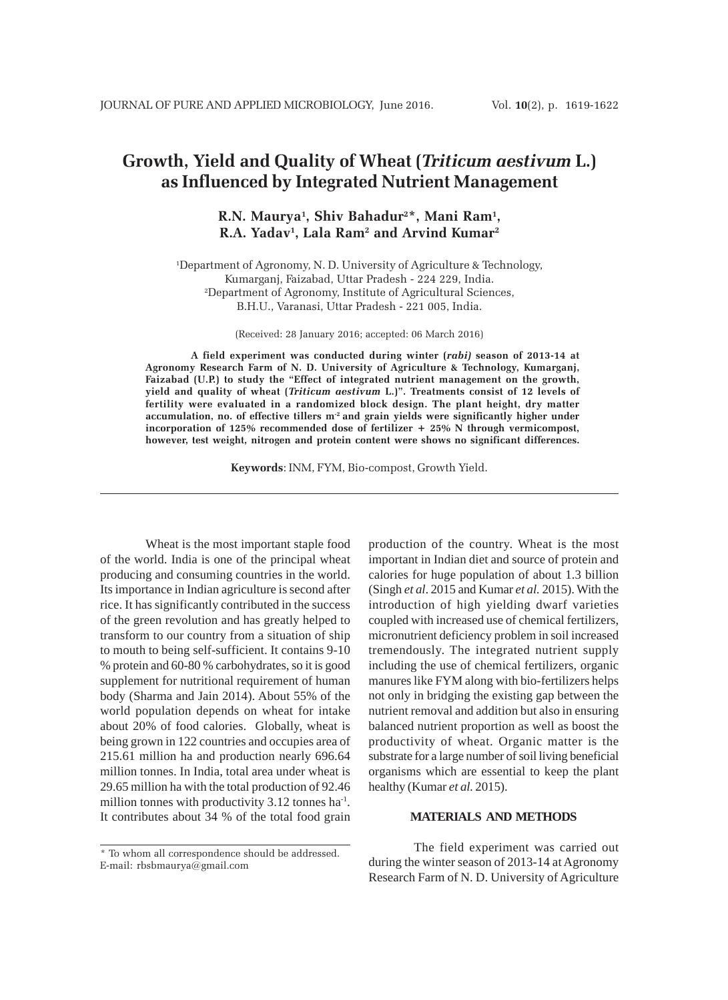# **Growth, Yield and Quality of Wheat (***Triticum aestivum* **L.) as Influenced by Integrated Nutrient Management**

# **R.N. Maurya1 , Shiv Bahadur2 \*, Mani Ram1 , R.A. Yadav1 , Lala Ram2 and Arvind Kumar2**

1 Department of Agronomy, N. D. University of Agriculture & Technology, Kumarganj, Faizabad, Uttar Pradesh - 224 229, India. 2 Department of Agronomy, Institute of Agricultural Sciences, B.H.U., Varanasi, Uttar Pradesh - 221 005, India.

(Received: 28 January 2016; accepted: 06 March 2016)

**A field experiment was conducted during winter (***rabi)* **season of 2013-14 at Agronomy Research Farm of N. D. University of Agriculture & Technology, Kumarganj, Faizabad (U.P.) to study the "Effect of integrated nutrient management on the growth, yield and quality of wheat (***Triticum aestivum* **L.)". Treatments consist of 12 levels of fertility were evaluated in a randomized block design. The plant height, dry matter** accumulation, no. of effective tillers m<sup>-2</sup> and grain yields were significantly higher under **incorporation of 125% recommended dose of fertilizer + 25% N through vermicompost, however, test weight, nitrogen and protein content were shows no significant differences.**

**Keywords**: INM, FYM, Bio-compost, Growth Yield.

Wheat is the most important staple food of the world. India is one of the principal wheat producing and consuming countries in the world. Its importance in Indian agriculture is second after rice. It has significantly contributed in the success of the green revolution and has greatly helped to transform to our country from a situation of ship to mouth to being self-sufficient. It contains 9-10 % protein and 60-80 % carbohydrates, so it is good supplement for nutritional requirement of human body (Sharma and Jain 2014). About 55% of the world population depends on wheat for intake about 20% of food calories. Globally, wheat is being grown in 122 countries and occupies area of 215.61 million ha and production nearly 696.64 million tonnes. In India, total area under wheat is 29.65 million ha with the total production of 92.46 million tonnes with productivity  $3.12$  tonnes ha<sup>-1</sup>. It contributes about 34 % of the total food grain

production of the country. Wheat is the most important in Indian diet and source of protein and calories for huge population of about 1.3 billion (Singh *et al*. 2015 and Kumar *et al.* 2015). With the introduction of high yielding dwarf varieties coupled with increased use of chemical fertilizers, micronutrient deficiency problem in soil increased tremendously. The integrated nutrient supply including the use of chemical fertilizers, organic manures like FYM along with bio-fertilizers helps not only in bridging the existing gap between the nutrient removal and addition but also in ensuring balanced nutrient proportion as well as boost the productivity of wheat. Organic matter is the substrate for a large number of soil living beneficial organisms which are essential to keep the plant healthy (Kumar *et al.* 2015).

# **MATERIALS AND METHODS**

The field experiment was carried out during the winter season of 2013-14 at Agronomy Research Farm of N. D. University of Agriculture

<sup>\*</sup> To whom all correspondence should be addressed. E-mail: rbsbmaurya@gmail.com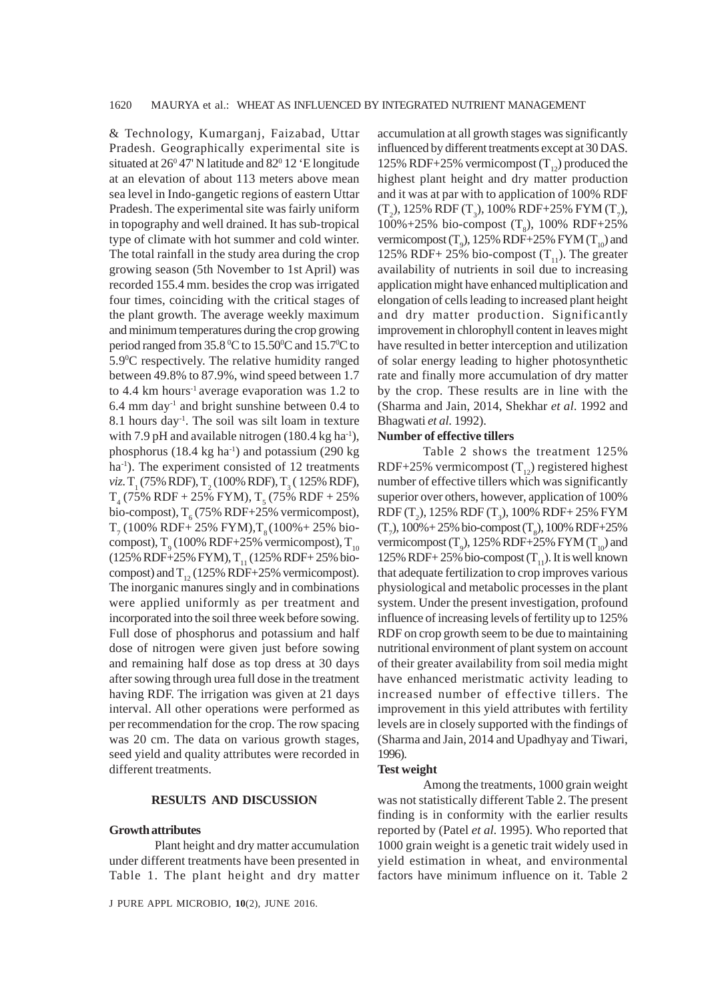& Technology, Kumarganj, Faizabad, Uttar Pradesh. Geographically experimental site is situated at 26<sup>0</sup> 47' N latitude and 82<sup>0</sup> 12 'E longitude at an elevation of about 113 meters above mean sea level in Indo-gangetic regions of eastern Uttar Pradesh. The experimental site was fairly uniform in topography and well drained. It has sub-tropical type of climate with hot summer and cold winter. The total rainfall in the study area during the crop growing season (5th November to 1st April) was recorded 155.4 mm. besides the crop was irrigated four times, coinciding with the critical stages of the plant growth. The average weekly maximum and minimum temperatures during the crop growing period ranged from  $35.8\,^{\circ}\text{C}$  to  $15.50\,^{\circ}\text{C}$  and  $15.7\,^{\circ}\text{C}$  to 5.90 C respectively. The relative humidity ranged between 49.8% to 87.9%, wind speed between 1.7 to 4.4 km hours-1 average evaporation was 1.2 to  $6.4$  mm day<sup>-1</sup> and bright sunshine between 0.4 to 8.1 hours day-1. The soil was silt loam in texture with 7.9 pH and available nitrogen  $(180.4 \text{ kg ha}^{-1})$ , phosphorus (18.4 kg ha<sup>-1</sup>) and potassium (290 kg ha<sup>-1</sup>). The experiment consisted of 12 treatments viz. T<sub>1</sub> (75% RDF), T<sub>2</sub> (100% RDF), T<sub>3</sub> (125% RDF),  $T_{4}$  (75% RDF + 25% FYM),  $T_{5}$  (75% RDF + 25%) bio-compost),  $T_6$  (75% RDF+25% vermicompost),  $T_7(100\% \text{ RDF} + 25\% \text{ FYM})$ , $T_8(100\% + 25\% \text{ bio-}$ compost),  $T_{9}$ (100% RDF+25% vermicompost),  $T_{10}$  $(125\% \text{ RDF}+25\% \text{ FYM})$ , T<sub>11</sub> (125% RDF+ 25% biocompost) and  $T_{12}$  (125% RDF+25% vermicompost). The inorganic manures singly and in combinations were applied uniformly as per treatment and incorporated into the soil three week before sowing. Full dose of phosphorus and potassium and half dose of nitrogen were given just before sowing and remaining half dose as top dress at 30 days after sowing through urea full dose in the treatment having RDF. The irrigation was given at 21 days interval. All other operations were performed as per recommendation for the crop. The row spacing was 20 cm. The data on various growth stages, seed yield and quality attributes were recorded in different treatments.

### **RESULTS AND DISCUSSION**

#### **Growth attributes**

Plant height and dry matter accumulation under different treatments have been presented in Table 1. The plant height and dry matter

J PURE APPL MICROBIO*,* **10**(2), JUNE 2016.

accumulation at all growth stages was significantly influenced by different treatments except at 30 DAS. 125% RDF+25% vermicompost  $(T_{12})$  produced the highest plant height and dry matter production and it was at par with to application of 100% RDF  $(T_2)$ , 125% RDF $(T_3)$ , 100% RDF+25% FYM $(T_7)$ , 100%+25% bio-compost  $(T_8)$ , 100% RDF+25% vermicompost  $(T_9)$ , 125% RDF+25% FYM  $(T_{10})$  and 125% RDF+ 25% bio-compost  $(T_{11})$ . The greater availability of nutrients in soil due to increasing application might have enhanced multiplication and elongation of cells leading to increased plant height and dry matter production. Significantly improvement in chlorophyll content in leaves might have resulted in better interception and utilization of solar energy leading to higher photosynthetic rate and finally more accumulation of dry matter by the crop. These results are in line with the (Sharma and Jain, 2014, Shekhar *et al*. 1992 and Bhagwati *et al.* 1992).

#### **Number of effective tillers**

Table 2 shows the treatment 125% RDF+25% vermicompost  $(T_{12})$  registered highest number of effective tillers which was significantly superior over others, however, application of 100%  $RDF(T_2)$ , 125%  $RDF(T_3)$ , 100%  $RDF+25%$  FYM  $(T_7)$ , 100% + 25% bio-compost  $(T_8)$ , 100% RDF+25% vermicompost  $(T_9)$ , 125% RDF+25% FYM  $(T_{10})$  and 125% RDF+ 25% bio-compost  $(T_{11})$ . It is well known that adequate fertilization to crop improves various physiological and metabolic processes in the plant system. Under the present investigation, profound influence of increasing levels of fertility up to 125% RDF on crop growth seem to be due to maintaining nutritional environment of plant system on account of their greater availability from soil media might have enhanced meristmatic activity leading to increased number of effective tillers. The improvement in this yield attributes with fertility levels are in closely supported with the findings of (Sharma and Jain, 2014 and Upadhyay and Tiwari, 1996).

#### **Test weight**

Among the treatments, 1000 grain weight was not statistically different Table 2. The present finding is in conformity with the earlier results reported by (Patel *et al.* 1995). Who reported that 1000 grain weight is a genetic trait widely used in yield estimation in wheat, and environmental factors have minimum influence on it. Table 2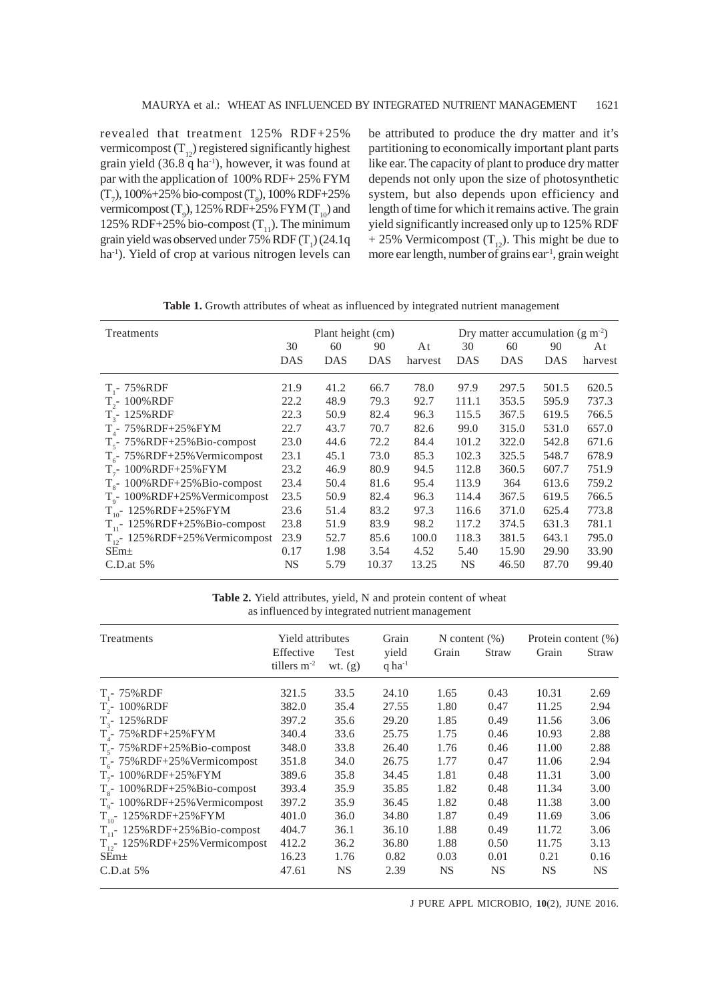revealed that treatment 125% RDF+25% vermicompost  $(T_{12})$  registered significantly highest grain yield  $(36.8 q ha<sup>-1</sup>)$ , however, it was found at par with the application of 100% RDF+ 25% FYM  $(T_7)$ , 100% + 25% bio-compost  $(T_8)$ , 100% RDF + 25% vermicompost  $(T_9)$ , 125% RDF+25% FYM  $(T_{10})$  and 125% RDF+25% bio-compost  $(T_{11})$ . The minimum grain yield was observed under  $75\%$  RDF  $(T_1)(24.1q)$ ha<sup>-1</sup>). Yield of crop at various nitrogen levels can be attributed to produce the dry matter and it's partitioning to economically important plant parts like ear. The capacity of plant to produce dry matter depends not only upon the size of photosynthetic system, but also depends upon efficiency and length of time for which it remains active. The grain yield significantly increased only up to 125% RDF + 25% Vermicompost  $(T_{12})$ . This might be due to more ear length, number of grains ear<sup>1</sup>, grain weight

| Treatments                           | Plant height (cm) |            |            |         | Dry matter accumulation ( $g$ m <sup>-2</sup> ) |            |            |         |
|--------------------------------------|-------------------|------------|------------|---------|-------------------------------------------------|------------|------------|---------|
|                                      | 30                | 60         | 90         | At      | 30                                              | 60         | 90         | At      |
|                                      | <b>DAS</b>        | <b>DAS</b> | <b>DAS</b> | harvest | <b>DAS</b>                                      | <b>DAS</b> | <b>DAS</b> | harvest |
| $T - 75\% RDF$                       | 21.9              | 41.2       | 66.7       | 78.0    | 97.9                                            | 297.5      | 501.5      | 620.5   |
| $T_{2}$ - 100% RDF                   | 22.2              | 48.9       | 79.3       | 92.7    | 111.1                                           | 353.5      | 595.9      | 737.3   |
| $T_{3}$ - 125% RDF                   | 22.3              | 50.9       | 82.4       | 96.3    | 115.5                                           | 367.5      | 619.5      | 766.5   |
| $T4 - 75\% RDF + 25\% FYM$           | 22.7              | 43.7       | 70.7       | 82.6    | 99.0                                            | 315.0      | 531.0      | 657.0   |
| $T_s$ - 75% RDF+25% Bio-compost      | 23.0              | 44.6       | 72.2       | 84.4    | 101.2                                           | 322.0      | 542.8      | 671.6   |
| $T_c$ - 75%RDF+25% Vermicompost      | 23.1              | 45.1       | 73.0       | 85.3    | 102.3                                           | 325.5      | 548.7      | 678.9   |
| $T7$ - 100%RDF+25%FYM                | 23.2              | 46.9       | 80.9       | 94.5    | 112.8                                           | 360.5      | 607.7      | 751.9   |
| $T_{\circ}$ - 100%RDF+25%Bio-compost | 23.4              | 50.4       | 81.6       | 95.4    | 113.9                                           | 364        | 613.6      | 759.2   |
| $To$ - 100% RDF+25% Vermicompost     | 23.5              | 50.9       | 82.4       | 96.3    | 114.4                                           | 367.5      | 619.5      | 766.5   |
| $T_{10}$ - 125% RDF+25% FYM          | 23.6              | 51.4       | 83.2       | 97.3    | 116.6                                           | 371.0      | 625.4      | 773.8   |
| $T_{11}$ - 125% RDF+25% Bio-compost  | 23.8              | 51.9       | 83.9       | 98.2    | 117.2                                           | 374.5      | 631.3      | 781.1   |
| $T_{12}$ - 125% RDF+25% Vermicompost | 23.9              | 52.7       | 85.6       | 100.0   | 118.3                                           | 381.5      | 643.1      | 795.0   |
| SEm <sub>±</sub>                     | 0.17              | 1.98       | 3.54       | 4.52    | 5.40                                            | 15.90      | 29.90      | 33.90   |
| C.D.at 5%                            | <b>NS</b>         | 5.79       | 10.37      | 13.25   | <b>NS</b>                                       | 46.50      | 87.70      | 99.40   |

Table 1. Growth attributes of wheat as influenced by integrated nutrient management

**Table 2.** Yield attributes, yield, N and protein content of wheat as influenced by integrated nutrient management

| Treatments                           | Yield attributes              |                   | Grain                         | N content $(\%)$ |           | Protein content (%) |           |
|--------------------------------------|-------------------------------|-------------------|-------------------------------|------------------|-----------|---------------------|-----------|
|                                      | Effective<br>tillers $m^{-2}$ | Test<br>$wt.$ (g) | vield<br>$q$ ha <sup>-1</sup> | Grain            | Straw     | Grain               | Straw     |
| $T - 75\% RDF$                       | 321.5                         | 33.5              | 24.10                         | 1.65             | 0.43      | 10.31               | 2.69      |
| $T_{2}$ - 100% RDF                   | 382.0                         | 35.4              | 27.55                         | 1.80             | 0.47      | 11.25               | 2.94      |
| $T_{3}$ - 125% RDF                   | 397.2                         | 35.6              | 29.20                         | 1.85             | 0.49      | 11.56               | 3.06      |
| $T_{4}$ - 75%RDF+25%FYM              | 340.4                         | 33.6              | 25.75                         | 1.75             | 0.46      | 10.93               | 2.88      |
| $T_s$ - 75% RDF+25% Bio-compost      | 348.0                         | 33.8              | 26.40                         | 1.76             | 0.46      | 11.00               | 2.88      |
| $T_c$ - 75% RDF+25% Vermicompost     | 351.8                         | 34.0              | 26.75                         | 1.77             | 0.47      | 11.06               | 2.94      |
| $T7$ - 100%RDF+25%FYM                | 389.6                         | 35.8              | 34.45                         | 1.81             | 0.48      | 11.31               | 3.00      |
| $T_s$ - 100% RDF+25% Bio-compost     | 393.4                         | 35.9              | 35.85                         | 1.82             | 0.48      | 11.34               | 3.00      |
| $T_{o}$ - 100%RDF+25% Vermicompost   | 397.2                         | 35.9              | 36.45                         | 1.82             | 0.48      | 11.38               | 3.00      |
| $T_{10}$ - 125% RDF+25% FYM          | 401.0                         | 36.0              | 34.80                         | 1.87             | 0.49      | 11.69               | 3.06      |
| $T_{11}$ - 125% RDF+25% Bio-compost  | 404.7                         | 36.1              | 36.10                         | 1.88             | 0.49      | 11.72               | 3.06      |
| $T_{12}$ - 125% RDF+25% Vermicompost | 412.2                         | 36.2              | 36.80                         | 1.88             | 0.50      | 11.75               | 3.13      |
| SEm <sub>±</sub>                     | 16.23                         | 1.76              | 0.82                          | 0.03             | 0.01      | 0.21                | 0.16      |
| C.D.at 5%                            | 47.61                         | NS.               | 2.39                          | <b>NS</b>        | <b>NS</b> | <b>NS</b>           | <b>NS</b> |

J PURE APPL MICROBIO*,* **10**(2), JUNE 2016.